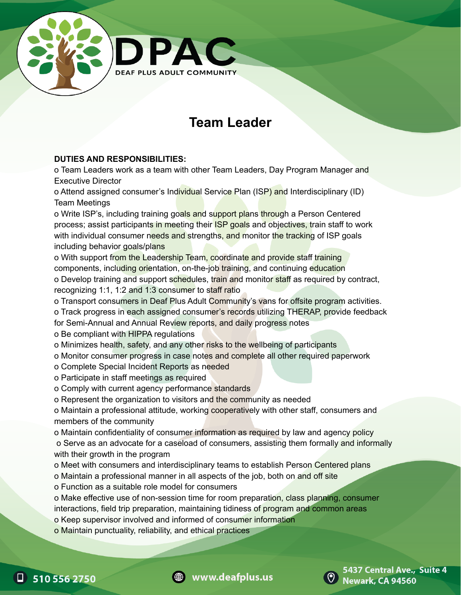

## **Team Leader**

## **DUTIES AND RESPONSIBILITIES:**

o Team Leaders work as a team with other Team Leaders, Day Program Manager and Executive Director

o Attend assigned consumer's Individual Service Plan (ISP) and Interdisciplinary (ID) Team Meetings

o Write ISP's, including training goals and support plans through a Person Centered process; assist participants in meeting their ISP goals and objectives, train staff to work with individual consumer needs and strengths, and monitor the tracking of ISP goals including behavior goals/plans

o With support from the Leadership Team, coordinate and provide staff training components, including orientation, on-the-job training, and continuing education o Develop training and support schedules, train and monitor staff as required by contract, recognizing 1:1, 1:2 and 1:3 consumer to staff ratio

o Transport consumers in Deaf Plus Adult Community's vans for offsite program activities.

o Track progress in each assigned consumer's records utilizing THERAP, provide feedback

for Semi-Annual and Annual Review reports, and daily progress notes

- o Be compliant with HIPPA regulations
- o Minimizes health, safety, and any other risks to the wellbeing of participants
- o Monitor consumer progress in case notes and complete all other required paperwork
- o Complete Special Incident Reports as needed
- o Participate in staff meetings as required
- o Comply with current agency performance standards
- o Represent the organization to visitors and the community as needed

o Maintain a professional attitude, working cooperatively with other staff, consumers and members of the community

o Maintain confidentiality of consumer information as required by law and agency policy

o Serve as an advocate for a caseload of consumers, assisting them formally and informally with their growth in the program

- o Meet with consumers and interdisciplinary teams to establish Person Centered plans
- o Maintain a professional manner in all aspects of the job, both on and off site
- o Function as a suitable role model for consumers

o Make effective use of non-session time for room preparation, class planning, consumer interactions, field trip preparation, maintaining tidiness of program and common areas

- o Keep supervisor involved and informed of consumer information
- o Maintain punctuality, reliability, and ethical practices